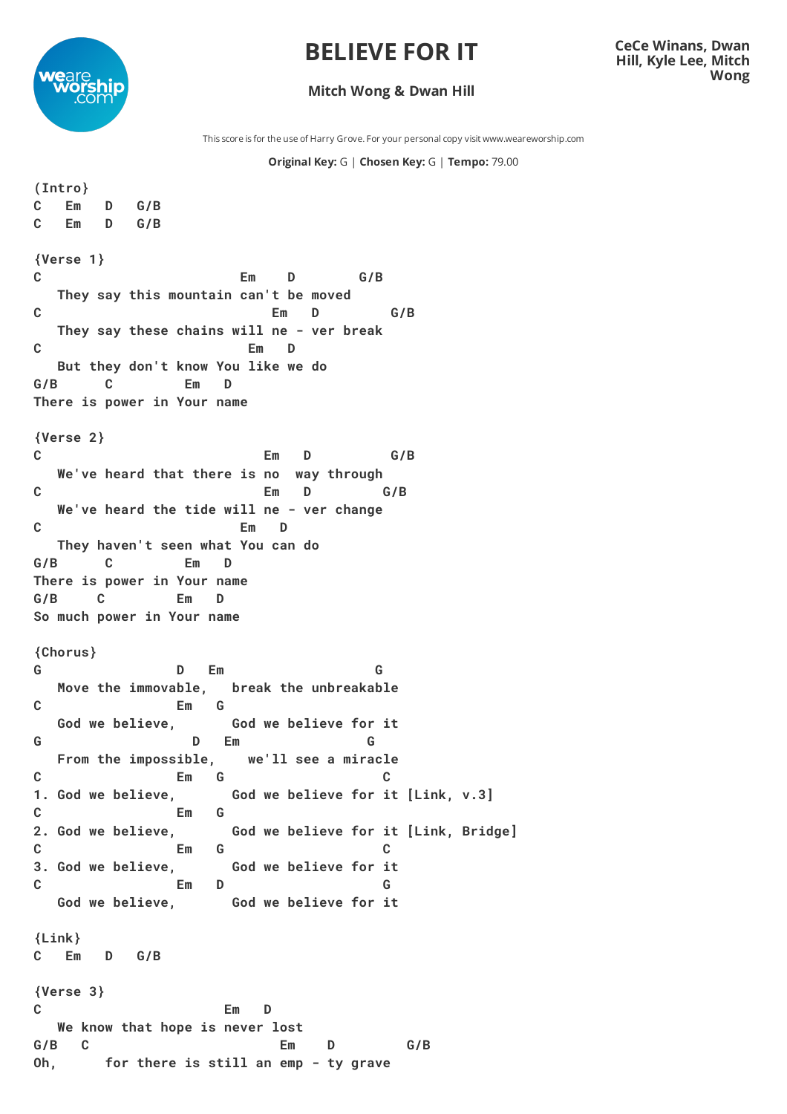## **BELIEVE FOR IT**



## **CeCe Winans, Dwan Hill, Kyle Lee, Mitch Wong**

## **Mitch Wong & Dwan Hill**

This score is for the use of Harry Grove. For your personal copy visit www.weareworship.com

## **Original Key:** G | **Chosen Key:** G | **Tempo:** 79.00

```
(Intro}
C Em D G/B
C Em D G/B
{Verse 1}
C Em D G/B
 They say this mountain can't be moved
C Em D G/B
 They say these chains will ne - ver break
C Em D
 But they don't know You like we do
G/B C Em D
There is power in Your name
{Verse 2}
C Em D G/B
 We've heard that there is no way through
C Em D G/B
 We've heard the tide will ne - ver change
C Em D
 They haven't seen what You can do
G/B C Em D
There is power in Your name
G/B C Em D
So much power in Your name
{Chorus}
G D Em G
 Move the immovable, break the unbreakable
C Em G
 God we believe, God we believe for it
G D Em G
 From the impossible, we'll see a miracle
C Em G C
1. God we believe, God we believe for it [Link, v.3]
C Em G
2. God we believe, God we believe for it [Link, Bridge]
C Em G C
3. God we believe, God we believe for it
C Em D G
 God we believe, God we believe for it
{Link}
C Em D G/B
{Verse 3}
C Em D
 We know that hope is never lost
G/B C Em D G/B
Oh, for there is still an emp - ty grave
```